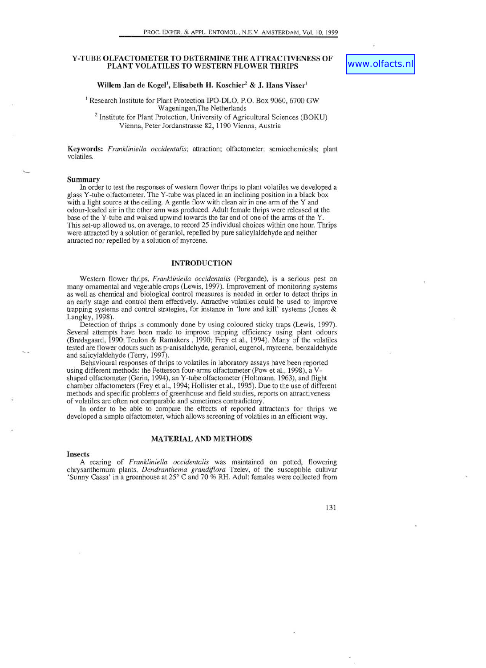## Y -TUBE OLFACTOMETER TO DETERMINE THE ATTRACTIVENESS OF PLANT VOLATILES TO WESTERN FLOWER THRIPS

# Willem Jan de Kogel<sup>1</sup>, Elisabeth H. Koschier<sup>2</sup> & J. Hans Visser<sup>t</sup>

<sup>1</sup> Research Institute for Plant Protection IPO-DLO, P.O. Box 9060, 6700 GW Wageningen,The Netherlands

2 Institute for Plant Protection, University of Agricultural Sciences (BOKU) Vienna, Peter Jordanstrasse 82, 1190 Vienna, Austria

Keywords: *Frankliniella occidentalis;* attraction; olfactometer; semiochemicals; plant volatiles.

## Summary

In order to test the responses of western flower thrips to plant volatiles we developed a glass Y -tube olfactometer. The Y -tube was placed in an inclining position in a black box with a light source at the ceiling. A gentle flow with clean air in one arm of the Y and odour-loaded air in the other ann was produced. Adult female thrips were released at the base of the Y-tube and walked upwind towards the far end of one of the arms of the Y. This set-up allowed us, on average, to record 25 individual choices within one hour. Thrips were attracted by a solution of geraniol, repelled by pure salicylaldehyde and neither attracted nor repelled by a solution of myrcene.

## INTRODUCTION

Western flower thrips, *Frankliniella occidentalis* (Pergande), is a serious pest on many ornamental and vegetable crops (Lewis, 1997). Improvement of monitoring systems as well as chemical and biological control measures is needed in order to detect thrips in an early stage and control them effectively. Attractive volatiles could be used to improve trapping systems and control strategies, for instance in 'lure and kill' systems (Jones & Langley, 1998).

Detection of thrips is commonly done by using coloured sticky traps (Lewis, 1997). Several attempts have been made to improve trapping efficiency using plant odours (Brødsgaard, 1990; Teulon & Ramakers, 1990; Frey et al., 1994). Many of the volatiles tested are flower odours such as p-anisaldehyde, geraniol, eugenol, myrcene, benzaldehyde and salicylaldehyde (Terry, 1997).

Behavioural responses of thrips to volatiles in laboratory assays have been reported using different methods: the Petterson four-anns olfactometer (Pow et aI., 1998), a Vshaped olfactometer (Gerin, 1994), an Y -tube olfactometer (Holtmann, 1963), and flight chamber olfactometers (Frey et al., 1994; Hollister et al., 1995). Due to the use of different methods and specific problems of greenhouse and field studies, reports on attractiveness volatiles are often not comparable and sometimes contradictory.

In order to be able to compare the effects of reported attractants for thrips we developed a simple olfactometer, which allows screening of volatiles in an efficient way.

### MATERIAL AND METHODS

#### Insects

A rearing of *Frankliniella occidentalis* was maintained on potted, flowering chrysanthemum plants, *Dendranthema grandiflora* Tzelev, of the susceptible cultivar 'Sunny Cassa' in a greenhouse at 25° C and 70 % RH. Adult females were collected from

131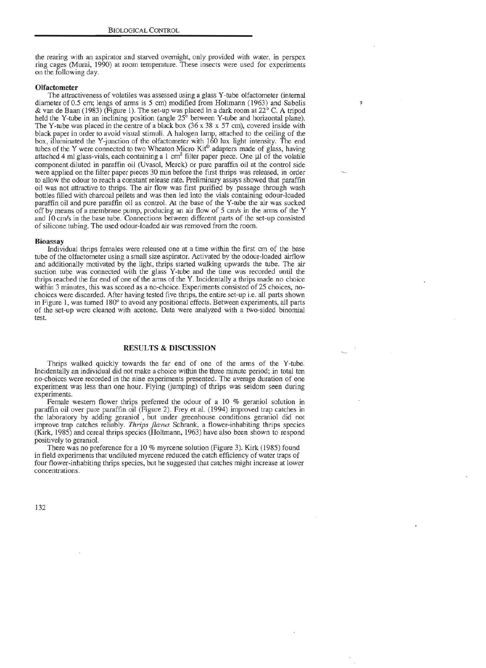the rearing with an aspirator and starved ovemight, only provided with water, in perspex ring cages (Murai, 1990) at room temperature. These insects were used for experiments on the following day.

Ŧ.

### **Olfactometer**

The attractiveness of volatiles was assessed using a glass Y-tube olfactometer (internal diameter of 0.5 cm; lengs of arms is 5 cm) modified from Holtmann (1963) and Sabelis & van de Baan (1983) (Figure I). The set-up was placed in a dark room at 22° C. A tripod held the Y-tube in an inclining position (angle 25° between Y-tube and horizontal plane). The Y-tube was placed in the centre of a black box (36 x 38 x 57 cm), covered inside with black paper in order to avoid visual stimuli. A halogen lamp, attached to the ceiling of the box, illuminated the Y-junction of the olfactometer with 160 lux light intensity. The end tubes of the Y were connected to two Wheaton Micro Kit<sup>®</sup> adapters made of glass, having attached 4 ml glass-vials, each containing a 1 cm<sup>2</sup> filter paper piece. One  $\mu$ l of the volatile component diluted in paraffin oil (Uvasol, Merck) or pure paraffin oil at the control side were applied on the filter paper pieces 30 min before the first thrips was released, in order to allow the odour to reach a constant release rate. Preliminary assays showed that paraffin oil was not attractive to thrips. The air flow was first purified by passage through wash bottles filled with charcoal pellets and was then led into the vials containing odour-loaded paraffin oil and pure paraffin oil as control. At the base of the Y-tube the air was sucked off by means of a membrane pump, producing an air flow of 5 *cmls* in the arms of the Y and 10 *cmls* in the base tube. Connections between different parts of the set-up consisted of silicone tubing. The used odour-loaded air was removed from the room.

### Bioassay

Individual thrips females were released one at a time within the first cm of the base tube of the olfactometer using a small size aspirator. Activated by the odour-loaded airflow and additionally motivated by the light, thrips started walking upwards the tube. The air suction tube was connected with the glass Y-tube and the time was recorded until the thrips reached the far end of one of the arms of the Y. Incidentally a thrips made no choice within 3 minutes, this was scored as a no-choice. Experiments consisted of 25 choices, nochoices were discarded. After having tested five thrips, the entire set-up i.e. all parts shown in Figure 1, was turned 180° to avoid any positional effects. Between experiments, all parts of the set-up were cleaned with acetone. Data were analyzed with a two-sided binomial test.

# RESULTS & DISCUSSION

Thrips walked quickly towards the far end of one of the arms of the Y -tube. Incidentally an individual did not make a choice within the three minute period; in total ten no-choices were recorded in the nine experiments presented. The average duration of one experiment was less than one hour. Flying (jumping) of thrips was seldom seen during experiments.

Female western flower thrips preferred the odour of a 10 % geraniol solution in paraffin oil over pure paraffin oil (Figure 2). Frey et al. (1994) improved trap catches in the laboratory by adding geraniol , but under greenhouse conditions geraniol did not improve trap catches reliably. *Thrips j1avus* Schrank, a flower-inhabiting thrips species (Kirk, 1985) and cereal thrips species (Holtmann, 1963) have also been shown to respond positively to geraniol.

There was no preference for a 10 % myrcene solution (Figure 3). Kirk (1985) found in field experiments that undiluted myrcene reduced the catch efficiency of water traps of four flower-inhabiting thrips species, but he suggested that catches might increase at lower concentrations.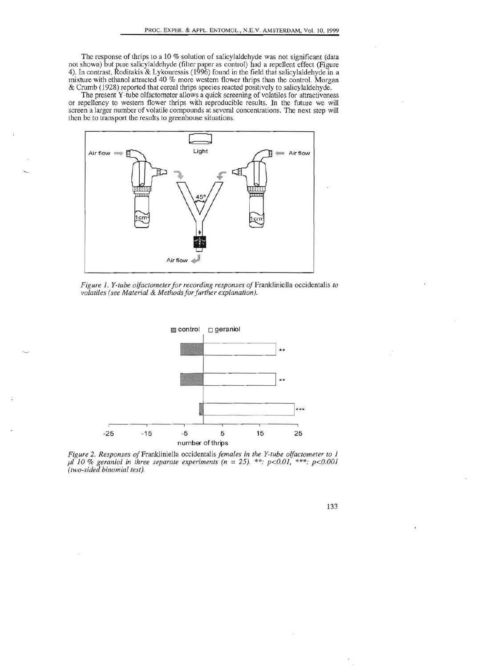The response of thrips to a 10 % solution of salicylaldehyde was not significant (data not shown) but pure salicylaldehyde (filter paper as control) had a repellent effect (Figure 4). In contrast, Roditakis & Lykouressis (1996) found in the field that salicylaldehyde in a mixtme with ethanol attracted 40 % more western flower thrips than the control. Morgan & Crumb (1928) reported that cereal thrips species reacted positively to salicylaldehyde.

The present Y-tube olfactometer allows a quick screening of volatiles for attractiveness or repellency to western flower thrips with reproducible results. In the future we will screen a larger number of volatile compounds at several concentrations. The next step will then be to transport the results to greenhouse situations.



*Figure* 1. *Y-tube olfactometer for recording responses of* FrankJiniella occidentalis *to volatiles (see Material & Methods for further explanation).* 



*Figure 2. Responses of Frankliniella occidentalis females in the Y-tube olfactometer to 1 pI* 10 % *geraniol in three separate experiments (n* =25). \*\*: *p<0.01,* \*\*\*: *p<0.001 (two-sided binomial test).* 

133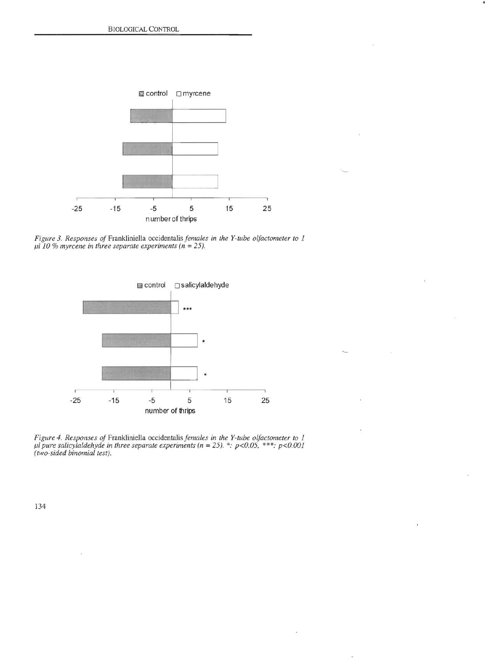

.,

*Figure* 3. *Responses of* Frankliniella occidentalis *females in the Y-tube olfactometer to 1 11110* % *myrcene in three separate experiments (n* = 25).



*Figure* 4. *Responses of* Frankliniella occidentalis *females in the Y-tube olfactometer to 1 III pure salicylaldehyde in three separate experiments (n* = 25). \*: *p<0.05,* \*\*\*: *p<O.OOl (two-sided binomial test).* 

134